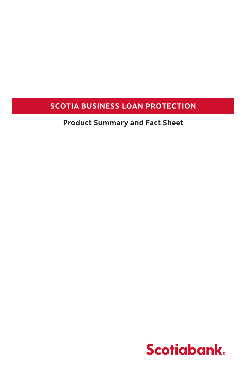#### **SCOTIA BUSINESS LOAN PROTECTION**

**Product Summary and Fact Sheet**

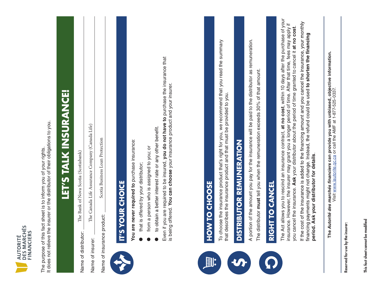| Ÿ<br>ERS<br>Ξ<br>١L<br>L<br>DES<br>2<br>₹<br>Ū. |  |
|-------------------------------------------------|--|
|                                                 |  |
|                                                 |  |

The purpose of this fact sheet is to inform you of your rights.<br>It does not relieve the insurer or the distributor of their obligations to you. It does not relieve the insurer or the distributor of their obligations to you. The purpose of this fact sheet is to inform you of your rights.

 $\mathcal{L}_{\mathcal{A}}$ 

# LET'S TALK INSURANCE! **LET'S TALK INSURANCE!** It does not relieve the insurer or the distributor of their obligations to you.

Nova Scotia (Scotiabank) The Bank of Nova Scotia (Scotiabank) The Bank of Nova Scotia (Scotiabank) Name of distributor: Name of distributo

The Canada Life Assurance Company (Canada Life) e Canada Life Assurance Company (Canada Life) Name of insurer: Name of insurer:

e Bank of Nova Scotiabank)

Scotia Business Loan Protection Scotia Business Loan Protection Name of insurance product: Name of insurance product:

 $\mathsf{u}_\mathsf{C}$  . The company (Canada Life) (Canada Life) (Canada Life) (Canada Life)

Scotia Business Loan Protection



## IT'S YOUR CHOICE **IT'S YOUR CHOICE**

- You are never required to purchase insurance: **You are never required to** purchase insurance: IT'S YOUR LAYS IN A YOUR CHOICE IS YOUR CHOICE IS YOUR CHOICE IS YOUR CHOICE IS YOUR
	- that is offered by your distributor; that is offered by your distributor;
- **Trom a person who is assigned to vour or** from a person who is assigned to you; or from a person who is assigned to you; or
- to obtain a better interest rate or any other benefit. to obtain a better interest rate or

Even if you are required to be insured, you do not have to purchase the insurance that<br>is being offered. You can choose your insurance product and your insurer. Even if you are required to be insured, **you do not have to** purchase the insurance that is being offered. **You can choose** your insurance product and your insurer. if you are required to be insured, you do



## To choose the insurance product that's right for you, we recommend that you read the summary that describes the insurance product and the insurance product and the properties of the properties of the provided to you. The insurance provided to you. In the insurance provided to you. In the insurance provided to you. **HOW TO CHOOSE HOW TO CHOOSE**

To choose the insurance product that's right for you, we recommend that you read the summary To choose the insurance product that's right for you, we recommend that you read the summary that describes the insurance product and that must be provided to you. that describes the insurance product and that must be provided to you. **that describes the insurance product and that m** 



A portion of the amount you pay for the insurance will be paid to the distributor as remuneration. A portion of the amount you pay for the insurance will be paid to the distributor as remuneration. The distributor **must** tell you when the remuneration exceeds 30% of that amount. The distributor must tell you when the remuneration exceeds 30% of that amount. The distributor must tell you



The Act allows you to rescind an insurance contract, **at no cost**, within 10 days after the purchase of your insurance. However, the insurance may grant  $\mathbf{A}$  longer period of time. After that time, fees may apply if  $\mathbf{A}$ **RIGHT TO CANCEL** CANCEL

The Act allows you to rescind an insurance contract, at no cost, within 10 days after the purchase of your The Act allows you to rescind an insurance contract, **at no cost**, within 10 days after the purchase of your insurance. However, the insurer may grant you a longer period of time. After that time, fees may apply if<br>you cancel the insurance. Ask your distributor about the period of time granted to cancel it at no cost. insurance. However, the insurer may grant you a longer period of time. After that time, fees may apply if you cancel the insurance. **Ask** your distributor about the period of time granted to cancel it **at no cost**. you cancel the insurance. **Ask** your distributor about the period of time granted to cancel it **at no cost**.

If the cost of the insurance is added to the financing amount and you cancel the insurance, your monthly financing payments might not change. Instead, the refund could be used to shorten the financing **The can provide you with unbiased, objective information.**  period. Ask your distributor for details. **period. Ask your distributor for details**. **period. Ask your distributor for details**.

The *Autorité des marchés financiers* can provide you with unbiased, objective information. The *Autorité des marchés financiers* can provide you with unbiased, objective information.<br>Visit <u>www.lautorite.go.ca</u> or call the AMF at 1-877-525-0337. Visit www.lautorite.qc.ca or call the AMF at 1-877-525-0337. Reserved for use by the insurer:

Reserved for use by the insurer: Reserved for use by the insurer: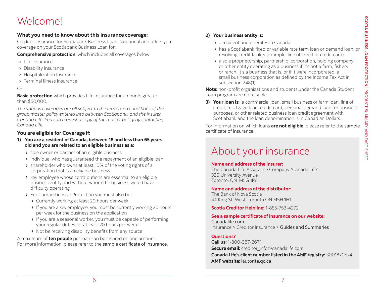## <span id="page-3-0"></span>Welcome!

#### **What you need to know about this insurance coverage:**

Creditor Insurance for Scotiabank Business Loan is optional and offers you coverage on your Scotiabank Business Loan for:

#### **Comprehensive protection**, which includes all coverages below

- **›** Life Insurance
- **›** Disability Insurance
- **›** Hospitalization Insurance
- **›** Terminal Illness Insurance

#### Or

**Basic protection** which provides Life Insurance for amounts greater than \$50,000.

*The various coverages are all subject to the terms and conditions of the group master policy entered into between Scotiabank, and the insurer, Canada Life. You can request a copy of the master policy by contacting Canada Life.*

#### **You are eligible for Coverage if:**

- **1) You are a resident of Canada, between 18 and less than 65 years old and you are related to an eligible business as a:**
	- **›** sole owner or partner of an eligible business
	- **›** individual who has guaranteed the repayment of an eligible loan
	- **›** shareholder who owns at least 10% of the voting rights of a corporation that is an eligible business
	- **›** key employee whose contributions are essential to an eligible business entity and without whom the business would have difficulty operating
	- **›** For Comprehensive Protection you must also be:
		- **›** Currently working at least 20 hours per week
		- **›** If you are a key employee, you must be currently working 20 hours per week for the business on the application
		- **›** If you are a seasonal worker, you must be capable of performing your regular duties for at least 20 hours per week
		- **›** Not be receiving disability benefits from any source

A maximum of **ten people** per loan can be insured on one account. For more information, please refer to the [sample certificate of](https://www.canadalife.com/insurance/creditor-insurance/distribution-guide-and-product-summary) insurance.

#### **2) Your business entity is:**

- **›** a resident and operates in Canada
- **›** has a Scotiabank fixed or variable rate term loan or demand loan, or revolving credit facility (example: line of credit or credit card)
- **›** a sole proprietorship, partnership, corporation, holding company or other entity operating as a business if it's not a farm, fishery or ranch, it's a business that is, or if it were incorporated, a small business corporation as defined by the Income Tax Act in subsection 248(1).

**Note:** non-profit organizations and students under the Canada Student Loan program are not eligible.

**3) Your loan is:** a commercial loan, small business or farm loan, line of credit, mortgage loan, credit card, personal demand loan for business purposes, or other related business loan credit agreement with Scotiabank and the loan denomination is in Canadian Dollars.

For information on which loans **are not eligible**, please refer to the [sample](https://www.canadalife.com/insurance/creditor-insurance/distribution-guide-and-product-summary)  [certificate of](https://www.canadalife.com/insurance/creditor-insurance/distribution-guide-and-product-summary) insurance.

## About your insurance

#### **Name and address of the insurer:**

The Canada Life Assurance Company "Canada Life" 330 University Avenue Toronto, ON M5G 1R8

#### **Name and address of the distributor:**

The Bank of Nova Scotia 44 King St. West, Toronto ON M5H 1H1

**Scotia Creditor Helpline:** 1-855-753-4272

#### **See a sample certificate of insurance on our website:**  [Canadalife.com](https://www.canadalife.com/) Insurance > Creditor Insurance > [Guides and Summaries](https://www.canadalife.com/insurance/personal-insurance/creditor-insurance/distribution-guide-and-product-summary.html)

#### **Questions?**

**Call us:** 1-800-387-2671 **Secure email:** creditor\_info@canadalife.com **Canada Life's client number listed in the AMF registry:** 3001870574 **AMF website:** [lautorite.qc.ca](https://lautorite.qc.ca/)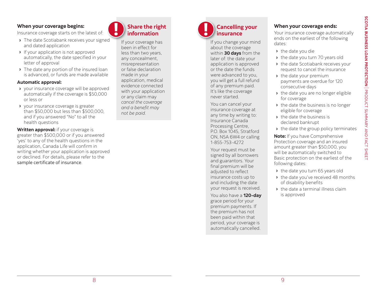#### <span id="page-4-0"></span>**When your coverage begins:**

Insurance coverage starts on the latest of:

- **›** The date Scotiabank receives your signed and dated application
- **›** If your application is not approved automatically, the date specified in your letter of approval
- **›** The date any portion of the insured loan is advanced, or funds are made available

#### **Automatic approval:**

- **›** your insurance coverage will be approved automatically if the coverage is \$50,000 or less or
- **›** your insurance coverage is greater than \$50,000 but less than \$500,000, and if you answered "No" to all the health questions

**Written approval:** if your coverage is greater than \$500,000 or if you answered 'yes' to any of the health questions in the application, Canada Life will confirm in writing whether your application is approved or declined. For details, please refer to the [sample certificate of](https://www.canadalife.com/insurance/creditor-insurance/distribution-guide-and-product-summary) insurance.



If your coverage has been in effect for less than two years, any concealment, misrepresentation or false declaration made in your application, medical evidence connected with your application or any claim may *cancel the coverage and a benefit may not be paid.*

#### **Cancelling your insurance**

If you change your mind about the coverage within **30 days** from the later of: the date your application is approved or the date the funds were advanced to you, you will get a full refund of any premium paid. It's like the coverage never started.

You can cancel your insurance coverage at any time by writing to: Insurance Canada Processing Centre, P.O. Box 1045, Stratford ON, N5A 6W4 or calling 1-855-753-4272

Your request must be signed by all borrowers and guarantors. Your final premium will be adjusted to reflect insurance costs up to and including the date your request is received.

You also have a **120-day** grace period for your premium payments. If the premium has not been paid within that period, your coverage is automatically cancelled.

#### **When your coverage ends:**

Your insurance coverage automatically ends on the earliest of the following dates:

- **›** the date you die
- **›** the date you turn 70 years old
- **›** the date Scotiabank receives your request to cancel the insurance
- **›** the date your premium payments are overdue for 120 consecutive days
- **›** the date you are no longer eligible for coverage
- **›** the date the business is no longer eligible for coverage
- **›** the date the business is declared bankrupt
- **›** the date the group policy terminates

**Note:** If you have Comprehensive Protection coverage and an insured amount greater than \$50,000, you will be automatically switched to Basic protection on the earliest of the following dates:

- **›** the date you turn 65 years old
- **›** the date you've received 48 months of disability benefits
- **›** the date a terminal illness claim is approved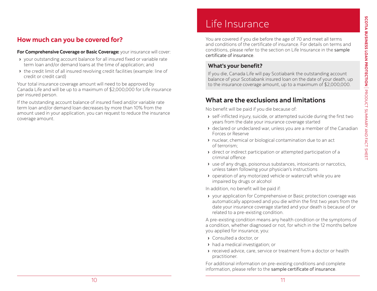#### <span id="page-5-0"></span>**How much can you be covered for?**

#### **For Comprehensive Coverage or Basic Coverage:** your insurance will cover:

- **›** your outstanding account balance for all insured fixed or variable rate term loan and/or demand loans at the time of application; and
- **›** the credit limit of all insured revolving credit facilities (example: line of credit or credit card)

Your total insurance coverage amount will need to be approved by Canada Life and will be up to a maximum of \$2,000,000 for Life insurance per insured person.

If the outstanding account balance of insured fixed and/or variable rate term loan and/or demand loan decreases by more than 10% from the amount used in your application, you can request to reduce the insurance coverage amount.

## Life Insurance

You are covered if you die before the age of 70 and meet all terms and conditions of the certificate of insurance. For details on terms and conditions, please refer to the section on Life Insurance in the [sample](https://www.canadalife.com/insurance/creditor-insurance/distribution-guide-and-product-summary)  [certificate of](https://www.canadalife.com/insurance/creditor-insurance/distribution-guide-and-product-summary) insurance.

#### **What's your benefit?**

If you die, Canada Life will pay Scotiabank the outstanding account balance of your Scotiabank insured loan on the date of your death, up to the insurance coverage amount, up to a maximum of \$2,000,000.

#### **What are the exclusions and limitations**

No benefit will be paid if you die because of:

- **›** self-inflicted injury, suicide, or attempted suicide during the first two years from the date your insurance coverage started
- **›** declared or undeclared war, unless you are a member of the Canadian Forces or Reserve
- **›** nuclear, chemical or biological contamination due to an act of terrorism;
- **›** direct or indirect participation or attempted participation of a criminal offence
- **›** use of any drugs, poisonous substances, intoxicants or narcotics, unless taken following your physician's instructions
- **›** operation of any motorized vehicle or watercraft while you are impaired by drugs or alcohol

In addition, no benefit will be paid if:

**›** your application for Comprehensive or Basic protection coverage was automatically approved and you die within the first two years from the date your insurance coverage started and your death is because of or related to a pre-existing condition.

A pre-existing condition means any health condition or the symptoms of a condition, whether diagnosed or not, for which in the 12 months before you applied for insurance, you:

- **›** Consulted a doctor, or
- **›** had a medical investigation; or
- **›** received advice, care, service or treatment from a doctor or health practitioner.

For additional information on pre-existing conditions and complete information, please refer to the [sample certificate of](https://www.canadalife.com/insurance/creditor-insurance/distribution-guide-and-product-summary) insurance.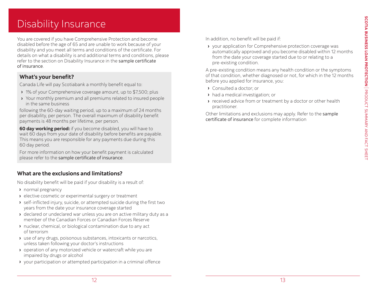## <span id="page-6-0"></span>Disability Insurance

You are covered if you have Comprehensive Protection and become disabled before the age of 65 and are unable to work because of your disability and you meet all terms and conditions of the certificate. For details on what a disability is and additional terms and conditions, please refer to the section on Disability Insurance in the [sample certificate](https://www.canadalife.com/insurance/creditor-insurance/distribution-guide-and-product-summary)  of [insurance](https://www.canadalife.com/insurance/creditor-insurance/distribution-guide-and-product-summary).

#### **What's your benefit?**

Canada Life will pay Scotiabank a monthly benefit equal to:

- **›** 1% of your Comprehensive coverage amount, up to \$7,500; plus
- **›** Your monthly premium and all premiums related to insured people in the same business

following the 60-day waiting period, up to a maximum of 24 months per disability, per person. The overall maximum of disability benefit payments is 48 months per lifetime, per person.

**60 day working period:** if you become disabled, you will have to wait 60 days from your date of disability before benefits are payable. This means you are responsible for any payments due during this 60 day period.

For more information on how your benefit payment is calculated please refer to the [sample certificate of](https://www.canadalife.com/insurance/creditor-insurance/distribution-guide-and-product-summary) insurance.

#### **What are the exclusions and limitations?**

No disability benefit will be paid if your disability is a result of:

- **›** normal pregnancy
- **›** elective cosmetic or experimental surgery or treatment
- **›** self-inflicted injury, suicide, or attempted suicide during the first two years from the date your insurance coverage started
- **›** declared or undeclared war unless you are on active military duty as a member of the Canadian Forces or Canadian Forces Reserve
- **›** nuclear, chemical, or biological contamination due to any act of terrorism
- **›** use of any drugs, poisonous substances, intoxicants or narcotics, unless taken following your doctor's instructions
- **›** operation of any motorized vehicle or watercraft while you are impaired by drugs or alcohol
- **›** your participation or attempted participation in a criminal offence

In addition, no benefit will be paid if:

**›** your application for Comprehensive protection coverage was automatically approved and you become disabled within 12 months from the date your coverage started due to or relating to a pre-existing condition.

A pre-existing condition means any health condition or the symptoms of that condition, whether diagnosed or not, for which in the 12 months before you applied for insurance, you:

- **›** Consulted a doctor; or
- **›** had a medical investigation; or
- **›** received advice from or treatment by a doctor or other health practitioner.

Other limitations and exclusions may apply. Refer to the [sample](https://www.canadalife.com/insurance/creditor-insurance/distribution-guide-and-product-summary)  [certificate of insurance](https://www.canadalife.com/insurance/creditor-insurance/distribution-guide-and-product-summary) for complete information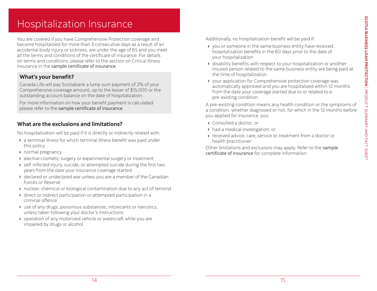## <span id="page-7-0"></span>Hospitalization Insurance

You are covered if you have Comprehensive Protection coverage and become hospitalized for more than 3 consecutive days as a result of an accidental body injury or sickness, are under the age of 65 and you meet all the terms and conditions of the certificate of insurance. For details on terms and conditions, please refer to the section on Critical Illness Insurance in the [sample certificate of](https://www.canadalife.com/insurance/creditor-insurance/distribution-guide-and-product-summary) insurance.

#### **What's your benefit?**

Canada Life will pay Scotiabank a lump sum payment of 2% of your Comprehensive coverage amount, up to the lesser of \$15,000 or the outstanding account balance on the date of hospitalization.

For more information on how your benefit payment is calculated please refer to the [sample certificate of insurance](https://www.canadalife.com/insurance/creditor-insurance/distribution-guide-and-product-summary).

#### **What are the exclusions and limitations?**

No hospitalization will be paid if it is directly or indirectly related with:

- **›** a terminal illness for which terminal illness benefit was paid under this policy
- **›** normal pregnancy
- **›** elective cosmetic surgery or experimental surgery or treatment
- **›** self-inflicted injury, suicide, or attempted suicide during the first two years from the date your insurance coverage started
- **›** declared or undeclared war unless you are a member of the Canadian Forces or Reserve
- **›** nuclear, chemical or biological contamination due to any act of terrorist
- **›** direct or indirect participation or attempted participation in a criminal offence
- **›** use of any drugs, poisonous substances, intoxicants or narcotics, unless taken following your doctor's instructions
- **›** operation of any motorized vehicle or watercraft while you are impaired by drugs or alcohol

Additionally, no hospitalization benefit will be paid if:

- **›** you or someone in the same business entity have received hospitalization benefits in the 60 days prior to the date of your hospitalization
- **›** disability benefits with respect to your hospitalization or another insured person related to the same business entity are being paid at the time of hospitalization
- **›** your application for Comprehensive protection coverage was automatically approved and you are hospitalized within 12 months from the date your coverage started due to or related to a pre-existing condition

A pre-existing condition means any health condition or the symptoms of a condition, whether diagnosed or not, for which in the 12 months before you applied for insurance, you:

- **›** Consulted a doctor, or
- **›** had a medical investigation; or
- **›** received advice, care, service or treatment from a doctor or health practitioner.

Other limitations and exclusions may apply. Refer to the [sample](https://www.canadalife.com/insurance/creditor-insurance/distribution-guide-and-product-summary)  [certificate of insurance](https://www.canadalife.com/insurance/creditor-insurance/distribution-guide-and-product-summary) for complete information.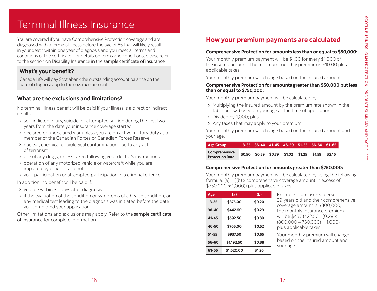## <span id="page-8-0"></span>Terminal Illness Insurance

You are covered if you have Comprehensive Protection coverage and are diagnosed with a terminal illness before the age of 65 that will likely result in your death within one year of diagnosis and you meet all terms and conditions of the certificate. For details on terms and conditions, please refer to the section on Disability Insurance in the [sample certificate of insurance](https://www.canadalife.com/insurance/creditor-insurance/distribution-guide-and-product-summary).

#### **What's your benefit?**

Canada Life will pay Scotiabank the outstanding account balance on the date of diagnosis, up to the coverage amount.

#### **What are the exclusions and limitations?**

No terminal illness benefit will be paid if your illness is a direct or indirect result of:

- **›** self-inflicted injury, suicide, or attempted suicide during the first two years from the date your insurance coverage started
- **›** declared or undeclared war unless you are on active military duty as a member of the Canadian Forces or Canadian Forces Reserve
- **›** nuclear, chemical or biological contamination due to any act of terrorism
- **›** use of any drugs, unless taken following your doctor's instructions
- **›** operation of any motorized vehicle or watercraft while you are impaired by drugs or alcohol
- **›** your participation or attempted participation in a criminal offence

In addition, no benefit will be paid if:

- **›** you die within 30 days after diagnosis
- **›** if the evaluation of the condition or symptoms of a health condition, or any medical test leading to the diagnosis was initiated before the date you completed your application

Other limitations and exclusions may apply. Refer to the [sample certificate](https://www.canadalife.com/insurance/creditor-insurance/distribution-guide-and-product-summary) [of insurance](https://www.canadalife.com/insurance/creditor-insurance/distribution-guide-and-product-summary) for complete information

#### **How your premium payments are calculated**

#### **Comprehensive Protection for amounts less than or equal to \$50,000:**

Your monthly premium payment will be \$1.00 for every \$1,000 of the insured amount. The minimum monthly premium is \$10.00 plus applicable taxes.

Your monthly premium will change based on the insured amount.

#### **Comprehensive Protection for amounts greater than \$50,000 but less than or equal to \$750,000:**

Your monthly premium payment will be calculated by:

- **›** Multiplying the insured amount by the premium rate shown in the table below, based on your age at the time of application;
- **›** Divided by 1,000; plus
- **›** Any taxes that may apply to your premium

Your monthly premium will change based on the insured amount and your age.

| <b>Age Group</b>                        |        |                                    |  | 18-35 36-40 41-45 46-50 51-55 56-60 61-65 |        |
|-----------------------------------------|--------|------------------------------------|--|-------------------------------------------|--------|
| Comprehensive<br><b>Protection Rate</b> | \$0.50 | \$0.59 \$0.79 \$1.02 \$1.25 \$1.59 |  |                                           | \$2.16 |

#### **Comprehensive Protection for amounts greater than \$750,000:**

Your monthly premium payment will be calculated by using the following formula: (a)  $+$  ((b) x comprehensive coverage amount in excess of  $$750,000 \div 1,000)$  plus applicable taxes.

| Age       | (a)        | (b)    |
|-----------|------------|--------|
| $18 - 35$ | \$375.00   | \$0.20 |
| 36-40     | \$442.50   | \$0.29 |
| $41 - 45$ | \$592.50   | \$0.39 |
| 46-50     | \$765.00   | \$0.52 |
| $51 - 55$ | \$937.50   | \$0.65 |
| 56-60     | \$1,192.50 | \$0.88 |
| 61-65     | \$1,620.00 | \$1.26 |

Example: if an insured person is 39 years old and their comprehensive coverage amount is \$800,000, the monthly insurance premium will be \$457 (422.50 +(0.29 x  $(800,000 - 750,000) \div 1,000$ plus applicable taxes.

Your monthly premium will change based on the insured amount and your age.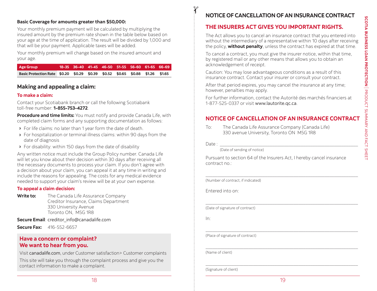#### <span id="page-9-0"></span>**Basic Coverage for amounts greater than \$50,000:**

Your monthly premium payment will be calculated by multiplying the insured amount by the premium rate shown in the table below based on your age at the time of application. The result will be divided by 1,000 and that will be your payment. Applicable taxes will be added.

Your monthly premium will change based on the insured amount and your age.

| Age Group                                                                     |  |  | 18-35 36-40 41-45 46-50 51-55 56-60 61-65 66-69 |  |
|-------------------------------------------------------------------------------|--|--|-------------------------------------------------|--|
| Basic Protection Rate \$0.20 \$0.29 \$0.39 \$0.52 \$0.65 \$0.88 \$1.26 \$1.65 |  |  |                                                 |  |

#### **Making and appealing a claim:**

#### **To make a claim:**

Contact your Scotiabank branch or call the following Scotiabank toll-free number: **1-855-753-4272**.

**Procedure and time limits:** You must notify and provide Canada Life, with completed claim forms and any supporting documentation as follows:

- **›** For life claims: no later than 1 year form the date of death.
- **›** For hospitalization or terminal illness claims: within 90 days from the date of diagnosis
- **›** For disability: within 150 days from the date of disability

Any written notice must include the Group Policy number. Canada Life will let you know about their decision within 30 days after receiving all the necessary documents to process your claim. If you don't agree with a decision about your claim, you can appeal it at any time in writing and include the reasons for appealing. The costs for any medical evidence needed to support your claim's review will be at your own expense.

#### **To appeal a claim decision:**

**Write to:** The Canada Life Assurance Company Creditor Insurance, Claims Department 330 University Avenue Toronto ON, M5G 1R8

**Secure Email**: [creditor\\_info@canadalife.com](mailto:creditor_info@canadalife.com)

**Secure Fax:** 416-552-6657

#### **Have a concern or complaint? We want to hear from you.**

Visit [canadalife.com](https://www.canadalife.com/), under Customer satisfaction> Customer complaints This site will take you through the complaint process and give you the contact information to make a complaint.

#### **NOTICE OF CANCELLATION OF AN INSURANCE CONTRACT**

#### **THE INSURERS ACT GIVES YOU IMPORTANT RIGHTS.**

The Act allows you to cancel an insurance contract that you entered into without the intermediary of a representative within 10 days after receiving the policy, **without penalty**, unless the contract has expired at that time.

To cancel a contract, you must give the insurer notice, within that time, by registered mail or any other means that allows you to obtain an acknowledgement of receipt.

Caution: You may lose advantageous conditions as a result of this insurance contract. Contact your insurer or consult your contract.

After that period expires, you may cancel the insurance at any time; however, penalties may apply.

For further information, contact the Autorité des marchés financiers at 1-877-525-0337 or visit [www.lautorite.qc.ca](https://lautorite.qc.ca/).

#### **NOTICE OF CANCELLATION OF AN INSURANCE CONTRACT**

Date : \_\_\_\_\_\_\_\_\_\_\_\_\_\_\_\_\_\_\_\_\_\_\_\_\_\_\_\_\_\_\_\_\_\_\_\_\_\_\_\_\_\_\_\_\_\_\_\_\_\_\_\_\_\_\_\_\_\_

(Date of sending of notice)

Pursuant to section 64 of the Insurers Act, I hereby cancel insurance contract no.:

\_\_\_\_\_\_\_\_\_\_\_\_\_\_\_\_\_\_\_\_\_\_\_\_\_\_\_\_\_\_\_\_\_\_\_\_\_\_\_\_\_\_\_\_\_\_\_\_\_\_\_\_\_\_\_\_\_\_\_\_\_\_\_\_

\_\_\_\_\_\_\_\_\_\_\_\_\_\_\_\_\_\_\_\_\_\_\_\_\_\_\_\_\_\_\_\_\_\_\_\_\_\_\_\_\_\_\_\_\_\_\_\_\_\_\_\_\_\_\_\_\_\_\_\_\_\_\_\_

\_\_\_\_\_\_\_\_\_\_\_\_\_\_\_\_\_\_\_\_\_\_\_\_\_\_\_\_\_\_\_\_\_\_\_\_\_\_\_\_\_\_\_\_\_\_\_\_\_\_\_\_\_\_\_\_\_\_\_\_\_\_\_\_

\_\_\_\_\_\_\_\_\_\_\_\_\_\_\_\_\_\_\_\_\_\_\_\_\_\_\_\_\_\_\_\_\_\_\_\_\_\_\_\_\_\_\_\_\_\_\_\_\_\_\_\_\_\_\_\_\_\_\_\_\_\_\_\_

\_\_\_\_\_\_\_\_\_\_\_\_\_\_\_\_\_\_\_\_\_\_\_\_\_\_\_\_\_\_\_\_\_\_\_\_\_\_\_\_\_\_\_\_\_\_\_\_\_\_\_\_\_\_\_\_\_\_\_\_\_\_\_\_

(Number of contract, if indicated)

Entered into on:

(Date of signature of contract)

In:

(Place of signature of contract)

(Name of client)

(Signature of client)

To: The Canada Life Assurance Company (Canada Life) 330 avenue University, Toronto ON M5G 1R8